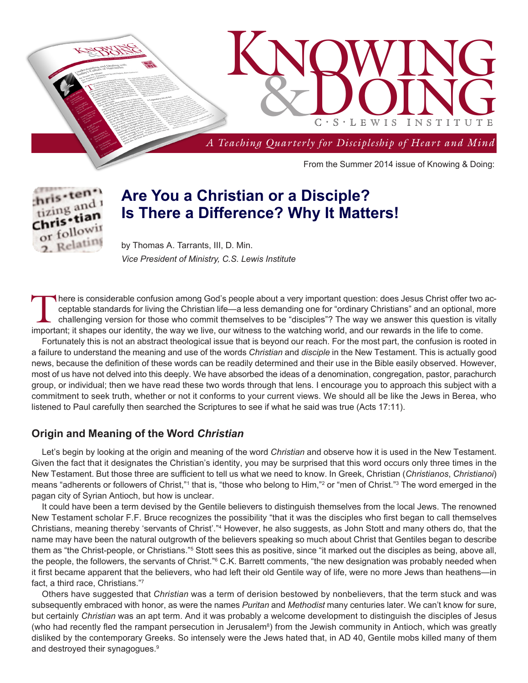



# **Are You a Christian or a Disciple? Is There a Difference? Why It Matters!**

by Thomas A. Tarrants, III, D. Min. *Vice President of Ministry, C.S. Lewis Institute*

There is considerable confusion among God's people about a very important question: does Jesus Christ offer two acceptable standards for living the Christian life—a less demanding one for "ordinary Christians" and an optional, more challenging version for those who commit themselves to be "disciples"? The way we answer this question is vitally important; it shapes our identity, the way we live, our witness to the watching world, and our rewards in the life to come.

Fortunately this is not an abstract theological issue that is beyond our reach. For the most part, the confusion is rooted in a failure to understand the meaning and use of the words *Christian* and *disciple* in the New Testament. This is actually good news, because the definition of these words can be readily determined and their use in the Bible easily observed. However, most of us have not delved into this deeply. We have absorbed the ideas of a denomination, congregation, pastor, parachurch group, or individual; then we have read these two words through that lens. I encourage you to approach this subject with a commitment to seek truth, whether or not it conforms to your current views. We should all be like the Jews in Berea, who listened to Paul carefully then searched the Scriptures to see if what he said was true (Acts 17:11).

### **Origin and Meaning of the Word** *Christian*

Let's begin by looking at the origin and meaning of the word *Christian* and observe how it is used in the New Testament. Given the fact that it designates the Christian's identity, you may be surprised that this word occurs only three times in the New Testament. But those three are sufficient to tell us what we need to know. In Greek, Christian (*Christianos*, *Christianoi*) means "adherents or followers of Christ,"1 that is, "those who belong to Him,"<sup>2</sup> or "men of Christ."3 The word emerged in the pagan city of Syrian Antioch, but how is unclear.

It could have been a term devised by the Gentile believers to distinguish themselves from the local Jews. The renowned New Testament scholar F.F. Bruce recognizes the possibility "that it was the disciples who first began to call themselves Christians, meaning thereby 'servants of Christ'."<sup>4</sup> However, he also suggests, as John Stott and many others do, that the name may have been the natural outgrowth of the believers speaking so much about Christ that Gentiles began to describe them as "the Christ-people, or Christians."<sup>5</sup> Stott sees this as positive, since "it marked out the disciples as being, above all, the people, the followers, the servants of Christ."6 C.K. Barrett comments, "the new designation was probably needed when it first became apparent that the believers, who had left their old Gentile way of life, were no more Jews than heathens—in fact, a third race, Christians."7

Others have suggested that *Christian* was a term of derision bestowed by nonbelievers, that the term stuck and was subsequently embraced with honor, as were the names *Puritan* and *Methodist* many centuries later. We can't know for sure, but certainly *Christian* was an apt term. And it was probably a welcome development to distinguish the disciples of Jesus (who had recently fled the rampant persecution in Jerusalem<sup>8</sup>) from the Jewish community in Antioch, which was greatly disliked by the contemporary Greeks. So intensely were the Jews hated that, in AD 40, Gentile mobs killed many of them and destroyed their synagogues.<sup>9</sup>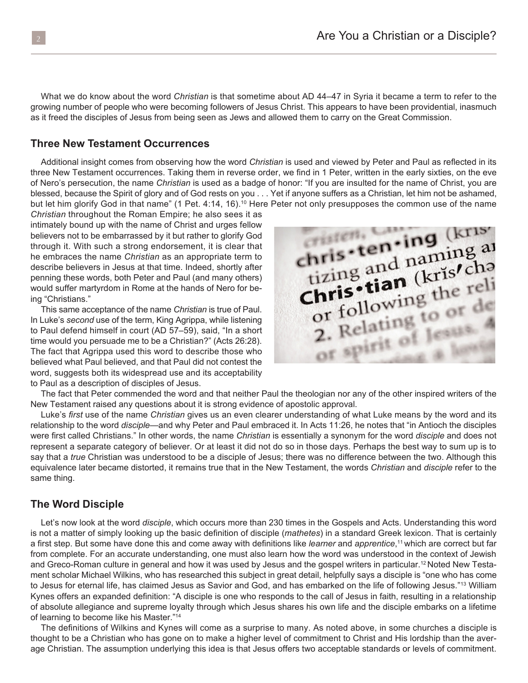What we do know about the word *Christian* is that sometime about AD 44–47 in Syria it became a term to refer to the growing number of people who were becoming followers of Jesus Christ. This appears to have been providential, inasmuch as it freed the disciples of Jesus from being seen as Jews and allowed them to carry on the Great Commission.

#### **Three New Testament Occurrences**

Additional insight comes from observing how the word *Christian* is used and viewed by Peter and Paul as reflected in its three New Testament occurrences. Taking them in reverse order, we find in 1 Peter, written in the early sixties, on the eve of Nero's persecution, the name *Christian* is used as a badge of honor: "If you are insulted for the name of Christ, you are blessed, because the Spirit of glory and of God rests on you . . . Yet if anyone suffers as a Christian, let him not be ashamed, but let him glorify God in that name" (1 Pet. 4:14, 16).<sup>10</sup> Here Peter not only presupposes the common use of the name

*Christian* throughout the Roman Empire; he also sees it as intimately bound up with the name of Christ and urges fellow believers not to be embarrassed by it but rather to glorify God through it. With such a strong endorsement, it is clear that he embraces the name *Christian* as an appropriate term to describe believers in Jesus at that time. Indeed, shortly after penning these words, both Peter and Paul (and many others) would suffer martyrdom in Rome at the hands of Nero for being "Christians."

This same acceptance of the name *Christian* is true of Paul. In Luke's *second* use of the term, King Agrippa, while listening to Paul defend himself in court (AD 57–59), said, "In a short time would you persuade me to be a Christian?" (Acts 26:28). The fact that Agrippa used this word to describe those who believed what Paul believed, and that Paul did not contest the word, suggests both its widespread use and its acceptability to Paul as a description of disciples of Jesus.



The fact that Peter commended the word and that neither Paul the theologian nor any of the other inspired writers of the New Testament raised any questions about it is strong evidence of apostolic approval.

Luke's *first* use of the name *Christian* gives us an even clearer understanding of what Luke means by the word and its relationship to the word *disciple*—and why Peter and Paul embraced it. In Acts 11:26, he notes that "in Antioch the disciples were first called Christians." In other words, the name *Christian* is essentially a synonym for the word *disciple* and does not represent a separate category of believer. Or at least it did not do so in those days. Perhaps the best way to sum up is to say that a *true* Christian was understood to be a disciple of Jesus; there was no difference between the two. Although this equivalence later became distorted, it remains true that in the New Testament, the words *Christian* and *disciple* refer to the same thing.

#### **The Word Disciple**

Let's now look at the word *disciple*, which occurs more than 230 times in the Gospels and Acts. Understanding this word is not a matter of simply looking up the basic definition of disciple (*mathetes*) in a standard Greek lexicon. That is certainly a first step. But some have done this and come away with definitions like *learner* and *apprentice*, 11 which are correct but far from complete. For an accurate understanding, one must also learn how the word was understood in the context of Jewish and Greco-Roman culture in general and how it was used by Jesus and the gospel writers in particular.<sup>12</sup> Noted New Testament scholar Michael Wilkins, who has researched this subject in great detail, helpfully says a disciple is "one who has come to Jesus for eternal life, has claimed Jesus as Savior and God, and has embarked on the life of following Jesus."<sup>13</sup> William Kynes offers an expanded definition: "A disciple is one who responds to the call of Jesus in faith, resulting in a relationship of absolute allegiance and supreme loyalty through which Jesus shares his own life and the disciple embarks on a lifetime of learning to become like his Master."14

The definitions of Wilkins and Kynes will come as a surprise to many. As noted above, in some churches a disciple is thought to be a Christian who has gone on to make a higher level of commitment to Christ and His lordship than the average Christian. The assumption underlying this idea is that Jesus offers two acceptable standards or levels of commitment.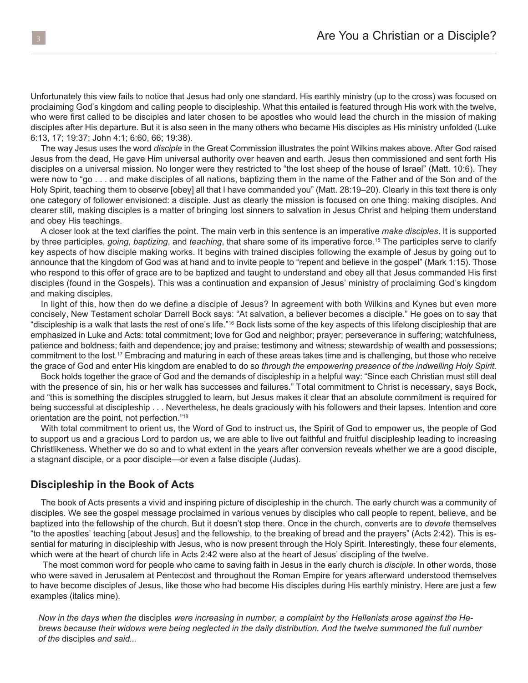Unfortunately this view fails to notice that Jesus had only one standard. His earthly ministry (up to the cross) was focused on proclaiming God's kingdom and calling people to discipleship. What this entailed is featured through His work with the twelve, who were first called to be disciples and later chosen to be apostles who would lead the church in the mission of making disciples after His departure. But it is also seen in the many others who became His disciples as His ministry unfolded (Luke 6:13, 17; 19:37; John 4:1; 6:60, 66; 19:38).

The way Jesus uses the word *disciple* in the Great Commission illustrates the point Wilkins makes above. After God raised Jesus from the dead, He gave Him universal authority over heaven and earth. Jesus then commissioned and sent forth His disciples on a universal mission. No longer were they restricted to "the lost sheep of the house of Israel" (Matt. 10:6). They were now to "go . . . and make disciples of all nations, baptizing them in the name of the Father and of the Son and of the Holy Spirit, teaching them to observe [obey] all that I have commanded you" (Matt. 28:19–20). Clearly in this text there is only one category of follower envisioned: a disciple. Just as clearly the mission is focused on one thing: making disciples. And clearer still, making disciples is a matter of bringing lost sinners to salvation in Jesus Christ and helping them understand and obey His teachings.

A closer look at the text clarifies the point. The main verb in this sentence is an imperative *make disciples*. It is supported by three participles, *going*, *baptizing*, and *teaching*, that share some of its imperative force.15 The participles serve to clarify key aspects of how disciple making works. It begins with trained disciples following the example of Jesus by going out to announce that the kingdom of God was at hand and to invite people to "repent and believe in the gospel" (Mark 1:15). Those who respond to this offer of grace are to be baptized and taught to understand and obey all that Jesus commanded His first disciples (found in the Gospels). This was a continuation and expansion of Jesus' ministry of proclaiming God's kingdom and making disciples.

In light of this, how then do we define a disciple of Jesus? In agreement with both Wilkins and Kynes but even more concisely, New Testament scholar Darrell Bock says: "At salvation, a believer becomes a disciple." He goes on to say that "discipleship is a walk that lasts the rest of one's life."16 Bock lists some of the key aspects of this lifelong discipleship that are emphasized in Luke and Acts: total commitment; love for God and neighbor; prayer; perseverance in suffering; watchfulness, patience and boldness; faith and dependence; joy and praise; testimony and witness; stewardship of wealth and possessions; commitment to the lost.17 Embracing and maturing in each of these areas takes time and is challenging, but those who receive the grace of God and enter His kingdom are enabled to do so *through the empowering presence of the indwelling Holy Spirit*.

Bock holds together the grace of God and the demands of discipleship in a helpful way: "Since each Christian must still deal with the presence of sin, his or her walk has successes and failures." Total commitment to Christ is necessary, says Bock, and "this is something the disciples struggled to learn, but Jesus makes it clear that an absolute commitment is required for being successful at discipleship . . . Nevertheless, he deals graciously with his followers and their lapses. Intention and core orientation are the point, not perfection."18

With total commitment to orient us, the Word of God to instruct us, the Spirit of God to empower us, the people of God to support us and a gracious Lord to pardon us, we are able to live out faithful and fruitful discipleship leading to increasing Christlikeness. Whether we do so and to what extent in the years after conversion reveals whether we are a good disciple, a stagnant disciple, or a poor disciple—or even a false disciple (Judas).

#### **Discipleship in the Book of Acts**

The book of Acts presents a vivid and inspiring picture of discipleship in the church. The early church was a community of disciples. We see the gospel message proclaimed in various venues by disciples who call people to repent, believe, and be baptized into the fellowship of the church. But it doesn't stop there. Once in the church, converts are to *devote* themselves "to the apostles' teaching [about Jesus] and the fellowship, to the breaking of bread and the prayers" (Acts 2:42). This is essential for maturing in discipleship with Jesus, who is now present through the Holy Spirit. Interestingly, these four elements, which were at the heart of church life in Acts 2:42 were also at the heart of Jesus' discipling of the twelve.

 The most common word for people who came to saving faith in Jesus in the early church is *disciple*. In other words, those who were saved in Jerusalem at Pentecost and throughout the Roman Empire for years afterward understood themselves to have become disciples of Jesus, like those who had become His disciples during His earthly ministry. Here are just a few examples (italics mine).

*Now in the days when the* disciples *were increasing in number, a complaint by the Hellenists arose against the Hebrews because their widows were being neglected in the daily distribution. And the twelve summoned the full number of the* disciples *and said...*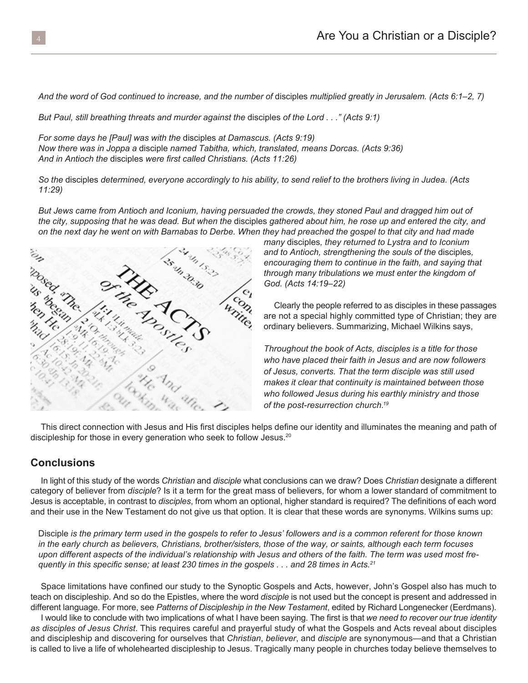*And the word of God continued to increase, and the number of* disciples *multiplied greatly in Jerusalem. (Acts 6:1–2, 7)*

*But Paul, still breathing threats and murder against the* disciples *of the Lord . . ." (Acts 9:1)*

*For some days he [Paul] was with the* disciples *at Damascus. (Acts 9:19) Now there was in Joppa a* disciple *named Tabitha, which, translated, means Dorcas. (Acts 9:36) And in Antioch the* disciples *were first called Christians. (Acts 11:26)*

*So the* disciples *determined, everyone accordingly to his ability, to send relief to the brothers living in Judea. (Acts 11:29)*

*But Jews came from Antioch and Iconium, having persuaded the crowds, they stoned Paul and dragged him out of the city, supposing that he was dead. But when the* disciples *gathered about him, he rose up and entered the city, and* 



*Throughout the book of Acts, disciples is a title for those who have placed their faith in Jesus and are now followers of Jesus, converts. That the term disciple was still used makes it clear that continuity is maintained between those who followed Jesus during his earthly ministry and those of the post-resurrection church.19*

ordinary believers. Summarizing, Michael Wilkins says,

This direct connection with Jesus and His first disciples helps define our identity and illuminates the meaning and path of discipleship for those in every generation who seek to follow Jesus.<sup>20</sup>

#### **Conclusions**

In light of this study of the words *Christian* and *disciple* what conclusions can we draw? Does *Christian* designate a different category of believer from *disciple*? Is it a term for the great mass of believers, for whom a lower standard of commitment to Jesus is acceptable, in contrast to *disciples*, from whom an optional, higher standard is required? The definitions of each word and their use in the New Testament do not give us that option. It is clear that these words are synonyms. Wilkins sums up:

Disciple *is the primary term used in the gospels to refer to Jesus' followers and is a common referent for those known in the early church as believers, Christians, brother/sisters, those of the way, or saints, although each term focuses upon different aspects of the individual's relationship with Jesus and others of the faith. The term was used most frequently in this specific sense; at least 230 times in the gospels . . . and 28 times in Acts.<sup>21</sup>*

Space limitations have confined our study to the Synoptic Gospels and Acts, however, John's Gospel also has much to teach on discipleship. And so do the Epistles, where the word *disciple* is not used but the concept is present and addressed in different language. For more, see *Patterns of Discipleship in the New Testament*, edited by Richard Longenecker (Eerdmans).

I would like to conclude with two implications of what I have been saying. The first is that *we need to recover our true identity as disciples of Jesus Christ*. This requires careful and prayerful study of what the Gospels and Acts reveal about disciples and discipleship and discovering for ourselves that *Christian*, *believer*, and *disciple* are synonymous—and that a Christian is called to live a life of wholehearted discipleship to Jesus. Tragically many people in churches today believe themselves to

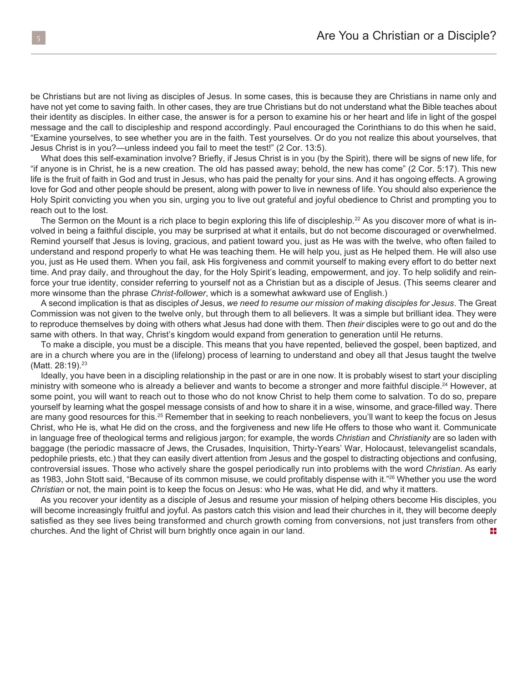be Christians but are not living as disciples of Jesus. In some cases, this is because they are Christians in name only and have not yet come to saving faith. In other cases, they are true Christians but do not understand what the Bible teaches about their identity as disciples. In either case, the answer is for a person to examine his or her heart and life in light of the gospel message and the call to discipleship and respond accordingly. Paul encouraged the Corinthians to do this when he said, "Examine yourselves, to see whether you are in the faith. Test yourselves. Or do you not realize this about yourselves, that Jesus Christ is in you?—unless indeed you fail to meet the test!" (2 Cor. 13:5).

What does this self-examination involve? Briefly, if Jesus Christ is in you (by the Spirit), there will be signs of new life, for "if anyone is in Christ, he is a new creation. The old has passed away; behold, the new has come" (2 Cor. 5:17). This new life is the fruit of faith in God and trust in Jesus, who has paid the penalty for your sins. And it has ongoing effects. A growing love for God and other people should be present, along with power to live in newness of life. You should also experience the Holy Spirit convicting you when you sin, urging you to live out grateful and joyful obedience to Christ and prompting you to reach out to the lost.

The Sermon on the Mount is a rich place to begin exploring this life of discipleship.<sup>22</sup> As you discover more of what is involved in being a faithful disciple, you may be surprised at what it entails, but do not become discouraged or overwhelmed. Remind yourself that Jesus is loving, gracious, and patient toward you, just as He was with the twelve, who often failed to understand and respond properly to what He was teaching them. He will help you, just as He helped them. He will also use you, just as He used them. When you fail, ask His forgiveness and commit yourself to making every effort to do better next time. And pray daily, and throughout the day, for the Holy Spirit's leading, empowerment, and joy. To help solidify and reinforce your true identity, consider referring to yourself not as a Christian but as a disciple of Jesus. (This seems clearer and more winsome than the phrase *Christ-follower*, which is a somewhat awkward use of English.)

A second implication is that as disciples *of* Jesus, *we need to resume our mission of making disciples for Jesus*. The Great Commission was not given to the twelve only, but through them to all believers. It was a simple but brilliant idea. They were to reproduce themselves by doing with others what Jesus had done with them. Then *their* disciples were to go out and do the same with others. In that way, Christ's kingdom would expand from generation to generation until He returns.

To make a disciple, you must be a disciple. This means that you have repented, believed the gospel, been baptized, and are in a church where you are in the (lifelong) process of learning to understand and obey all that Jesus taught the twelve (Matt. 28:19).<sup>23</sup>

Ideally, you have been in a discipling relationship in the past or are in one now. It is probably wisest to start your discipling ministry with someone who is already a believer and wants to become a stronger and more faithful disciple.<sup>24</sup> However, at some point, you will want to reach out to those who do not know Christ to help them come to salvation. To do so, prepare yourself by learning what the gospel message consists of and how to share it in a wise, winsome, and grace-filled way. There are many good resources for this.<sup>25</sup> Remember that in seeking to reach nonbelievers, you'll want to keep the focus on Jesus Christ, who He is, what He did on the cross, and the forgiveness and new life He offers to those who want it. Communicate in language free of theological terms and religious jargon; for example, the words *Christian* and *Christianity* are so laden with baggage (the periodic massacre of Jews, the Crusades, Inquisition, Thirty-Years' War, Holocaust, televangelist scandals, pedophile priests, etc.) that they can easily divert attention from Jesus and the gospel to distracting objections and confusing, controversial issues. Those who actively share the gospel periodically run into problems with the word *Christian*. As early as 1983, John Stott said, "Because of its common misuse, we could profitably dispense with it."<sup>26</sup> Whether you use the word *Christian* or not, the main point is to keep the focus on Jesus: who He was, what He did, and why it matters.

As you recover your identity as a disciple of Jesus and resume your mission of helping others become His disciples, you will become increasingly fruitful and joyful. As pastors catch this vision and lead their churches in it, they will become deeply satisfied as they see lives being transformed and church growth coming from conversions, not just transfers from other churches. And the light of Christ will burn brightly once again in our land.  $\blacksquare$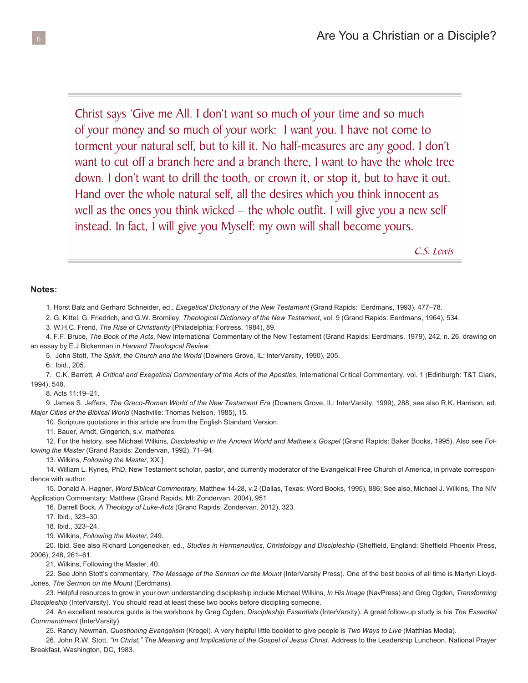Christ says 'Give me All. I don't want so much of your time and so much of your money and so much of your work: I want you. I have not come to torment your natural self, but to kill it. No half-measures are any good. I don't want to cut off a branch here and a branch there, I want to have the whole tree down. I don't want to drill the tooth, or crown it, or stop it, but to have it out. Hand over the whole natural self, all the desires which you think innocent as well as the ones you think wicked  $-$  the whole outfit. I will give you a new self instead. In fact, I will give you Myself: my own will shall become yours.

C.S. Lewis

#### **Notes:**

1. Horst Balz and Gerhard Schneider, ed., *Exegetical Dictionary of the New Testament* (Grand Rapids: Eerdmans, 1993), 477–78.

2. G. Kittel, G. Friedrich, and G.W. Bromiley, *Theological Dictionary of the New Testament*, vol. 9 (Grand Rapids: Eerdmans, 1964), 534.

3. W.H.C. Frend, *The Rise of Christianity* (Philadelphia: Fortress, 1984), 89.

4. F.F. Bruce, *The Book of the Acts,* New International Commentary of the New Testament (Grand Rapids: Eerdmans, 1979), 242, n. 26, drawing on an essay by E.J Bickerman in *Harvard Theological Review*.

5. John Stott, *The Spirit, the Church and the World* (Downers Grove, IL: InterVarsity, 1990), 205.

6. Ibid., 205.

7. C.K. Barrett, *A Critical and Exegetical Commentary of the Acts of the Apostles*, International Critical Commentary, vol. 1 (Edinburgh: T&T Clark, 1994), 548.

8. Acts 11:19–21.

9. James S. Jeffers, *The Greco-Roman World of the New Testament Era* (Downers Grove, IL: InterVarsity, 1999), 288; see also R.K. Harrison, ed. *Major Cities of the Biblical World* (Nashville: Thomas Nelson, 1985), 15.

10. Scripture quotations in this article are from the English Standard Version.

11. Bauer, Arndt, Gingerich, s.v. *mathetes*.

12. For the history, see Michael Wilkins, *Discipleship in the Ancient World and Mathew's Gospel* (Grand Rapids: Baker Books, 1995). Also see *Following the Master* (Grand Rapids: Zondervan, 1992), 71–94.

13. Wilkins, *Following the Master*, XX.]

14. William L. Kynes, PhD, New Testament scholar, pastor, and currently moderator of the Evangelical Free Church of America, in private correspondence with author.

15. Donald A. Hagner, *Word Biblical Commentary*, Matthew 14-28, v.2 (Dallas, Texas: Word Books, 1995), 886; See also, Michael J. Wilkins, The NIV Application Commentary: Matthew (Grand Rapids, MI: Zondervan, 2004), 951

16. Darrell Bock, *A Theology of Luke-Acts* (Grand Rapids: Zondervan, 2012), 323.

17. Ibid., 323–30.

18. Ibid., 323–24.

19. Wilkins, *Following the Master*, 249.

20. Ibid. See also Richard Longenecker, ed., *Studies in Hermeneutics, Christology and Discipleship* (Sheffield, England: Sheffield Phoenix Press, 2006), 248, 261–61.

21. Wilkins, Following the Master, 40.

22. See John Stott's commentary, *The Message of the Sermon on the Mount* (InterVarsity Press). One of the best books of all time is Martyn Lloyd-Jones, *The Sermon on the Mount* (Eerdmans).

23. Helpful resources to grow in your own understanding discipleship include Michael Wilkins, *In His Image* (NavPress) and Greg Ogden, *Transforming Discipleship* (InterVarsity). You should read at least these two books before discipling someone.

24. An excellent resource guide is the workbook by Greg Ogden, *Discipleship Essentials* (InterVarsity). A great follow-up study is his *The Essential Commandment* (InterVarsity).

25. Randy Newman, *Questioning Evangelism* (Kregel). A very helpful little booklet to give people is *Two Ways to Live* (Matthias Media).

26. John R.W. Stott, "In Christ," The Meaning and Implications of the Gospel of Jesus Christ. Address to the Leadership Luncheon, National Prayer Breakfast, Washington, DC, 1983.